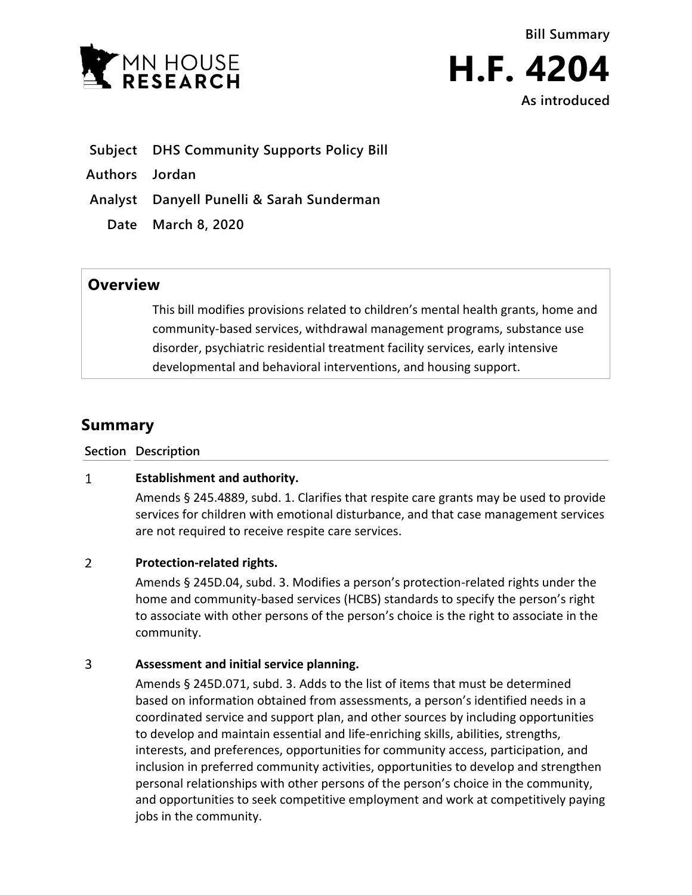



- **Subject DHS Community Supports Policy Bill**
- **Authors Jordan**
- **Analyst Danyell Punelli & Sarah Sunderman**
	- **Date March 8, 2020**

# **Overview**

This bill modifies provisions related to children's mental health grants, home and community-based services, withdrawal management programs, substance use disorder, psychiatric residential treatment facility services, early intensive developmental and behavioral interventions, and housing support.

# **Summary**

**Section Description**

# $\mathbf{1}$ **Establishment and authority.**

Amends § 245.4889, subd. 1. Clarifies that respite care grants may be used to provide services for children with emotional disturbance, and that case management services are not required to receive respite care services.

# $\overline{2}$ **Protection-related rights.**

Amends § 245D.04, subd. 3. Modifies a person's protection-related rights under the home and community-based services (HCBS) standards to specify the person's right to associate with other persons of the person's choice is the right to associate in the community.

# $\overline{3}$ **Assessment and initial service planning.**

Amends § 245D.071, subd. 3. Adds to the list of items that must be determined based on information obtained from assessments, a person's identified needs in a coordinated service and support plan, and other sources by including opportunities to develop and maintain essential and life-enriching skills, abilities, strengths, interests, and preferences, opportunities for community access, participation, and inclusion in preferred community activities, opportunities to develop and strengthen personal relationships with other persons of the person's choice in the community, and opportunities to seek competitive employment and work at competitively paying jobs in the community.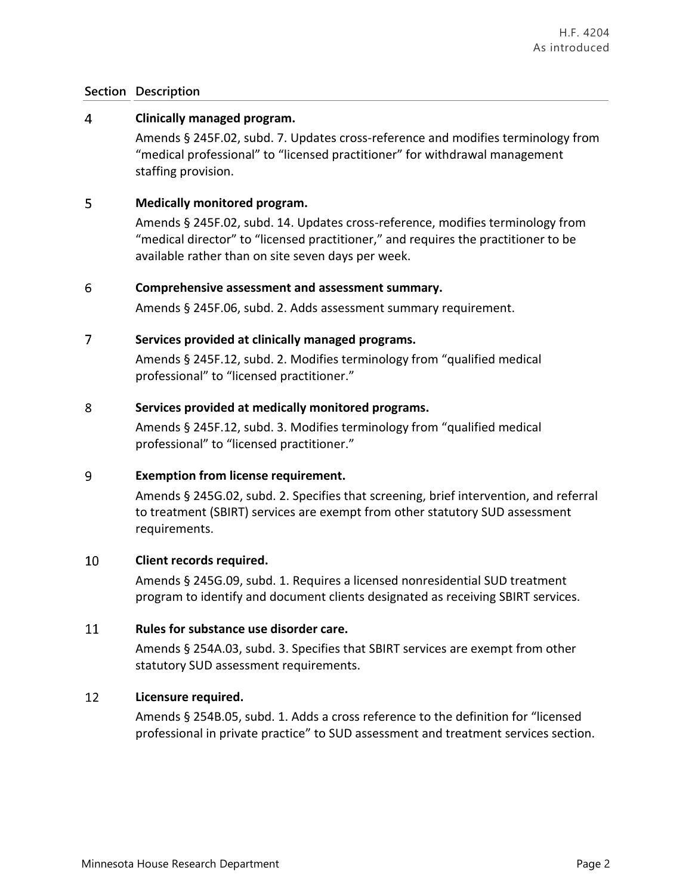# $\overline{4}$ **Clinically managed program.**

Amends § 245F.02, subd. 7. Updates cross-reference and modifies terminology from "medical professional" to "licensed practitioner" for withdrawal management staffing provision.

# 5 **Medically monitored program.**

Amends § 245F.02, subd. 14. Updates cross-reference, modifies terminology from "medical director" to "licensed practitioner," and requires the practitioner to be available rather than on site seven days per week.

# 6 **Comprehensive assessment and assessment summary.**

Amends § 245F.06, subd. 2. Adds assessment summary requirement.

# $\overline{7}$ **Services provided at clinically managed programs.**

Amends § 245F.12, subd. 2. Modifies terminology from "qualified medical professional" to "licensed practitioner."

#### 8 **Services provided at medically monitored programs.**

Amends § 245F.12, subd. 3. Modifies terminology from "qualified medical professional" to "licensed practitioner."

# $\overline{9}$ **Exemption from license requirement.**

Amends § 245G.02, subd. 2. Specifies that screening, brief intervention, and referral to treatment (SBIRT) services are exempt from other statutory SUD assessment requirements.

#### 10 **Client records required.**

Amends § 245G.09, subd. 1. Requires a licensed nonresidential SUD treatment program to identify and document clients designated as receiving SBIRT services.

# 11 **Rules for substance use disorder care.**

Amends § 254A.03, subd. 3. Specifies that SBIRT services are exempt from other statutory SUD assessment requirements.

# 12 **Licensure required.**

Amends § 254B.05, subd. 1. Adds a cross reference to the definition for "licensed professional in private practice" to SUD assessment and treatment services section.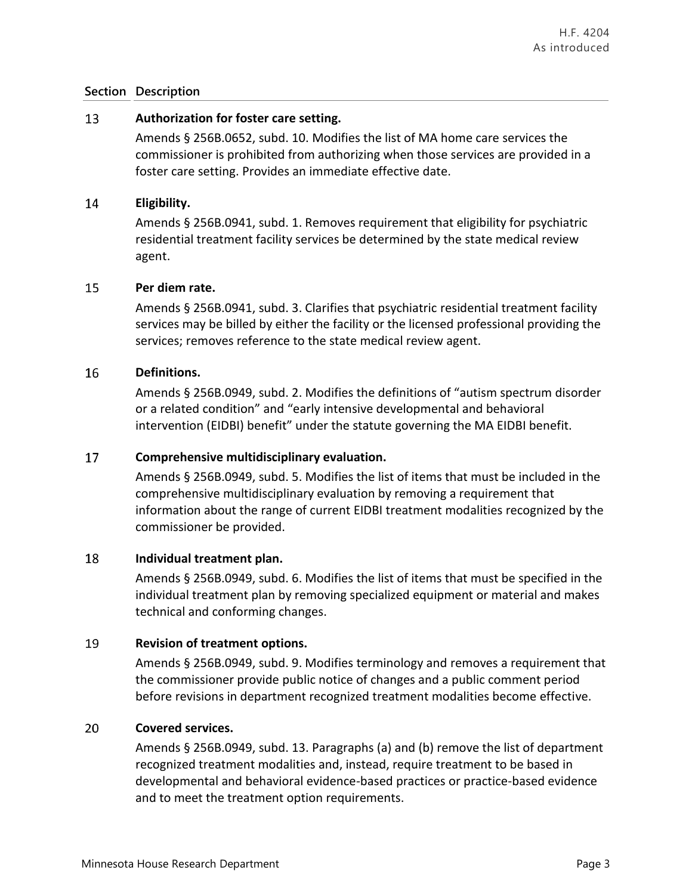# 13 **Authorization for foster care setting.**

Amends § 256B.0652, subd. 10. Modifies the list of MA home care services the commissioner is prohibited from authorizing when those services are provided in a foster care setting. Provides an immediate effective date.

# 14 **Eligibility.**

Amends § 256B.0941, subd. 1. Removes requirement that eligibility for psychiatric residential treatment facility services be determined by the state medical review agent.

# 15 **Per diem rate.**

Amends § 256B.0941, subd. 3. Clarifies that psychiatric residential treatment facility services may be billed by either the facility or the licensed professional providing the services; removes reference to the state medical review agent.

# 16 **Definitions.**

Amends § 256B.0949, subd. 2. Modifies the definitions of "autism spectrum disorder or a related condition" and "early intensive developmental and behavioral intervention (EIDBI) benefit" under the statute governing the MA EIDBI benefit.

# 17 **Comprehensive multidisciplinary evaluation.**

Amends § 256B.0949, subd. 5. Modifies the list of items that must be included in the comprehensive multidisciplinary evaluation by removing a requirement that information about the range of current EIDBI treatment modalities recognized by the commissioner be provided.

# 18 **Individual treatment plan.**

Amends § 256B.0949, subd. 6. Modifies the list of items that must be specified in the individual treatment plan by removing specialized equipment or material and makes technical and conforming changes.

# 19 **Revision of treatment options.**

Amends § 256B.0949, subd. 9. Modifies terminology and removes a requirement that the commissioner provide public notice of changes and a public comment period before revisions in department recognized treatment modalities become effective.

# 20 **Covered services.**

Amends § 256B.0949, subd. 13. Paragraphs (a) and (b) remove the list of department recognized treatment modalities and, instead, require treatment to be based in developmental and behavioral evidence-based practices or practice-based evidence and to meet the treatment option requirements.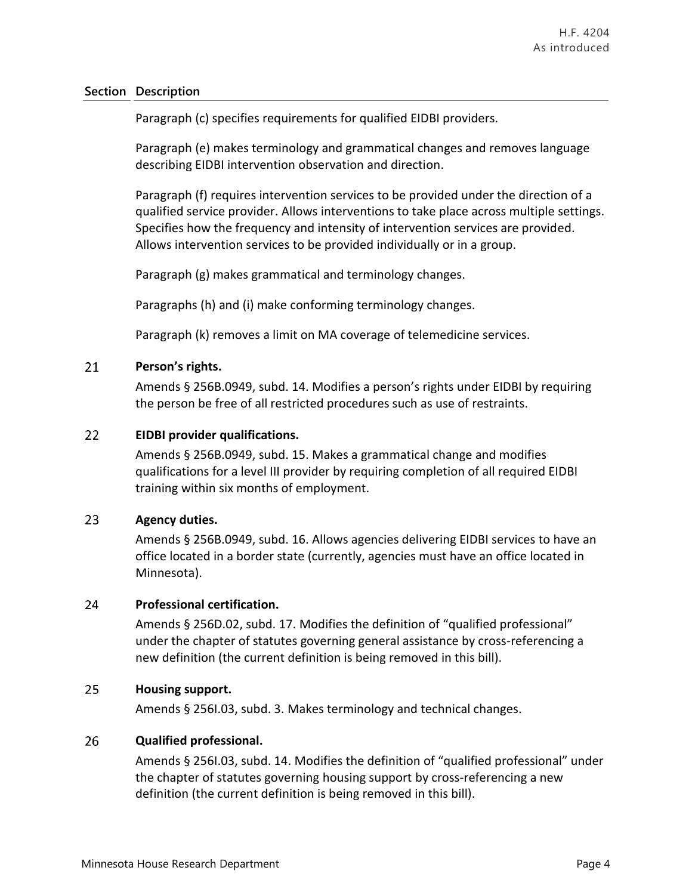Paragraph (c) specifies requirements for qualified EIDBI providers.

Paragraph (e) makes terminology and grammatical changes and removes language describing EIDBI intervention observation and direction.

Paragraph (f) requires intervention services to be provided under the direction of a qualified service provider. Allows interventions to take place across multiple settings. Specifies how the frequency and intensity of intervention services are provided. Allows intervention services to be provided individually or in a group.

Paragraph (g) makes grammatical and terminology changes.

Paragraphs (h) and (i) make conforming terminology changes.

Paragraph (k) removes a limit on MA coverage of telemedicine services.

# 21 **Person's rights.**

Amends § 256B.0949, subd. 14. Modifies a person's rights under EIDBI by requiring the person be free of all restricted procedures such as use of restraints.

# 22 **EIDBI provider qualifications.**

Amends § 256B.0949, subd. 15. Makes a grammatical change and modifies qualifications for a level III provider by requiring completion of all required EIDBI training within six months of employment.

# 23 **Agency duties.**

Amends § 256B.0949, subd. 16. Allows agencies delivering EIDBI services to have an office located in a border state (currently, agencies must have an office located in Minnesota).

# 24 **Professional certification.**

Amends § 256D.02, subd. 17. Modifies the definition of "qualified professional" under the chapter of statutes governing general assistance by cross-referencing a new definition (the current definition is being removed in this bill).

# 25 **Housing support.**

Amends § 256I.03, subd. 3. Makes terminology and technical changes.

# 26 **Qualified professional.**

Amends § 256I.03, subd. 14. Modifies the definition of "qualified professional" under the chapter of statutes governing housing support by cross-referencing a new definition (the current definition is being removed in this bill).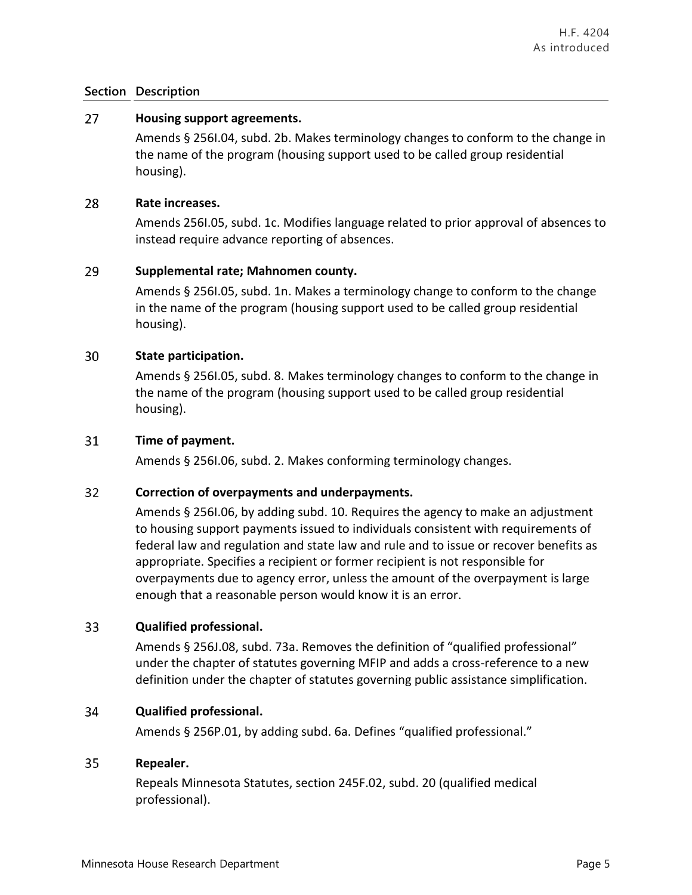# 27 **Housing support agreements.**

Amends § 256I.04, subd. 2b. Makes terminology changes to conform to the change in the name of the program (housing support used to be called group residential housing).

# 28 **Rate increases.**

Amends 256I.05, subd. 1c. Modifies language related to prior approval of absences to instead require advance reporting of absences.

# 29 **Supplemental rate; Mahnomen county.**

Amends § 256I.05, subd. 1n. Makes a terminology change to conform to the change in the name of the program (housing support used to be called group residential housing).

#### 30 **State participation.**

Amends § 256I.05, subd. 8. Makes terminology changes to conform to the change in the name of the program (housing support used to be called group residential housing).

# 31 **Time of payment.**

Amends § 256I.06, subd. 2. Makes conforming terminology changes.

# 32 **Correction of overpayments and underpayments.**

Amends § 256I.06, by adding subd. 10. Requires the agency to make an adjustment to housing support payments issued to individuals consistent with requirements of federal law and regulation and state law and rule and to issue or recover benefits as appropriate. Specifies a recipient or former recipient is not responsible for overpayments due to agency error, unless the amount of the overpayment is large enough that a reasonable person would know it is an error.

# 33 **Qualified professional.**

Amends § 256J.08, subd. 73a. Removes the definition of "qualified professional" under the chapter of statutes governing MFIP and adds a cross-reference to a new definition under the chapter of statutes governing public assistance simplification.

# 34 **Qualified professional.**

Amends § 256P.01, by adding subd. 6a. Defines "qualified professional."

# 35 **Repealer.**

Repeals Minnesota Statutes, section 245F.02, subd. 20 (qualified medical professional).